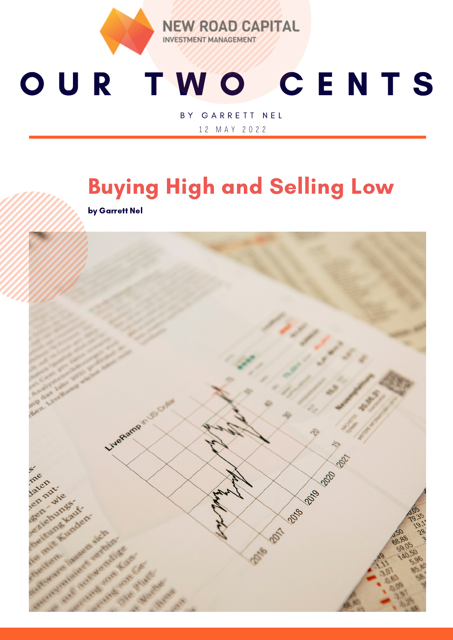**NEW ROAD CAPITAL INVESTMENT MANAGEMENT** 

## OUR TWO CENTS

BY GARRETT NEL 1 2 M A Y 2 0 2 2

## Buying High and Selling Low

by Garrett Nel